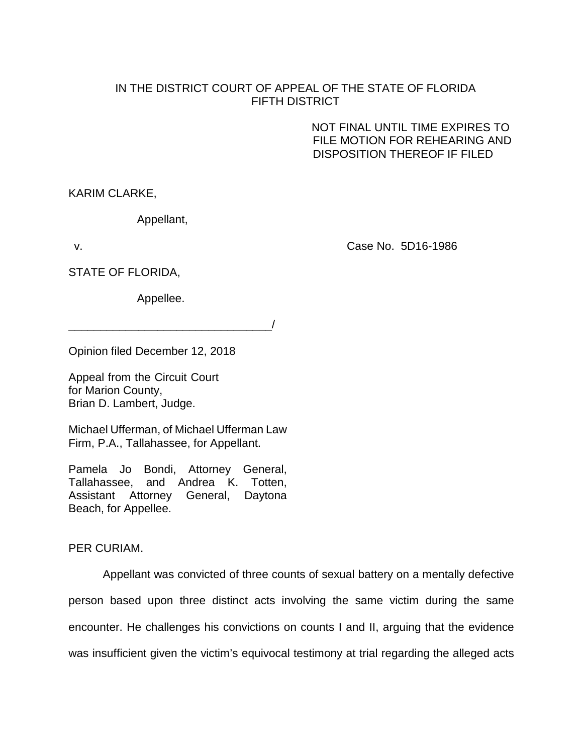## IN THE DISTRICT COURT OF APPEAL OF THE STATE OF FLORIDA FIFTH DISTRICT

NOT FINAL UNTIL TIME EXPIRES TO FILE MOTION FOR REHEARING AND DISPOSITION THEREOF IF FILED

KARIM CLARKE,

Appellant,

v. Case No. 5D16-1986

STATE OF FLORIDA,

Appellee.

\_\_\_\_\_\_\_\_\_\_\_\_\_\_\_\_\_\_\_\_\_\_\_\_\_\_\_\_\_\_\_\_/

Opinion filed December 12, 2018

Appeal from the Circuit Court for Marion County, Brian D. Lambert, Judge.

Michael Ufferman, of Michael Ufferman Law Firm, P.A., Tallahassee, for Appellant.

Pamela Jo Bondi, Attorney General, Tallahassee, and Andrea K. Totten, Assistant Attorney General, Daytona Beach, for Appellee.

## PER CURIAM.

Appellant was convicted of three counts of sexual battery on a mentally defective person based upon three distinct acts involving the same victim during the same encounter. He challenges his convictions on counts I and II, arguing that the evidence was insufficient given the victim's equivocal testimony at trial regarding the alleged acts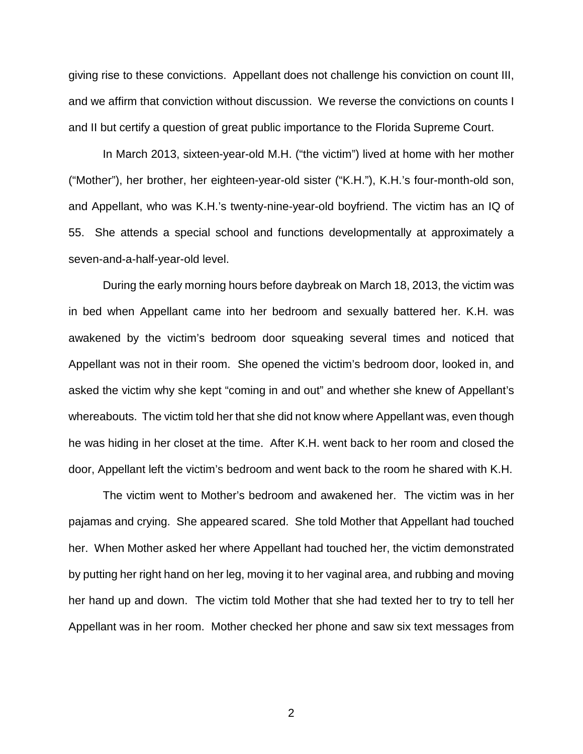giving rise to these convictions. Appellant does not challenge his conviction on count III, and we affirm that conviction without discussion. We reverse the convictions on counts I and II but certify a question of great public importance to the Florida Supreme Court.

In March 2013, sixteen-year-old M.H. ("the victim") lived at home with her mother ("Mother"), her brother, her eighteen-year-old sister ("K.H."), K.H.'s four-month-old son, and Appellant, who was K.H.'s twenty-nine-year-old boyfriend. The victim has an IQ of 55. She attends a special school and functions developmentally at approximately a seven-and-a-half-year-old level.

During the early morning hours before daybreak on March 18, 2013, the victim was in bed when Appellant came into her bedroom and sexually battered her. K.H. was awakened by the victim's bedroom door squeaking several times and noticed that Appellant was not in their room. She opened the victim's bedroom door, looked in, and asked the victim why she kept "coming in and out" and whether she knew of Appellant's whereabouts. The victim told her that she did not know where Appellant was, even though he was hiding in her closet at the time. After K.H. went back to her room and closed the door, Appellant left the victim's bedroom and went back to the room he shared with K.H.

The victim went to Mother's bedroom and awakened her. The victim was in her pajamas and crying. She appeared scared. She told Mother that Appellant had touched her. When Mother asked her where Appellant had touched her, the victim demonstrated by putting her right hand on her leg, moving it to her vaginal area, and rubbing and moving her hand up and down. The victim told Mother that she had texted her to try to tell her Appellant was in her room. Mother checked her phone and saw six text messages from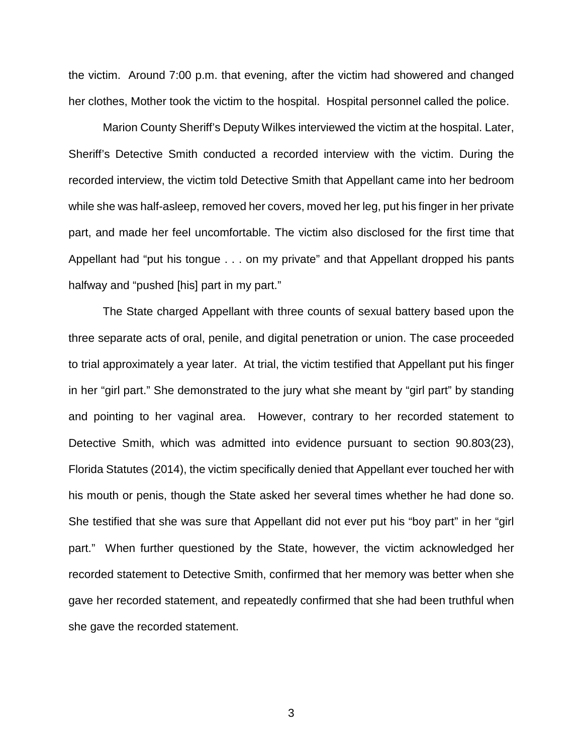the victim. Around 7:00 p.m. that evening, after the victim had showered and changed her clothes, Mother took the victim to the hospital. Hospital personnel called the police.

Marion County Sheriff's Deputy Wilkes interviewed the victim at the hospital. Later, Sheriff's Detective Smith conducted a recorded interview with the victim. During the recorded interview, the victim told Detective Smith that Appellant came into her bedroom while she was half-asleep, removed her covers, moved her leg, put his finger in her private part, and made her feel uncomfortable. The victim also disclosed for the first time that Appellant had "put his tongue . . . on my private" and that Appellant dropped his pants halfway and "pushed [his] part in my part."

The State charged Appellant with three counts of sexual battery based upon the three separate acts of oral, penile, and digital penetration or union. The case proceeded to trial approximately a year later. At trial, the victim testified that Appellant put his finger in her "girl part." She demonstrated to the jury what she meant by "girl part" by standing and pointing to her vaginal area. However, contrary to her recorded statement to Detective Smith, which was admitted into evidence pursuant to section 90.803(23), Florida Statutes (2014), the victim specifically denied that Appellant ever touched her with his mouth or penis, though the State asked her several times whether he had done so. She testified that she was sure that Appellant did not ever put his "boy part" in her "girl part." When further questioned by the State, however, the victim acknowledged her recorded statement to Detective Smith, confirmed that her memory was better when she gave her recorded statement, and repeatedly confirmed that she had been truthful when she gave the recorded statement.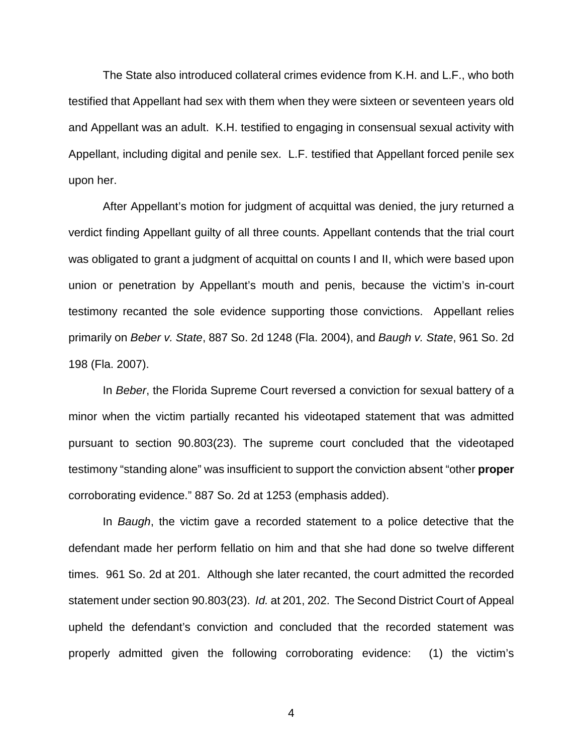The State also introduced collateral crimes evidence from K.H. and L.F., who both testified that Appellant had sex with them when they were sixteen or seventeen years old and Appellant was an adult. K.H. testified to engaging in consensual sexual activity with Appellant, including digital and penile sex. L.F. testified that Appellant forced penile sex upon her.

After Appellant's motion for judgment of acquittal was denied, the jury returned a verdict finding Appellant guilty of all three counts. Appellant contends that the trial court was obligated to grant a judgment of acquittal on counts I and II, which were based upon union or penetration by Appellant's mouth and penis, because the victim's in-court testimony recanted the sole evidence supporting those convictions. Appellant relies primarily on *Beber v. State*, 887 So. 2d 1248 (Fla. 2004), and *Baugh v. State*, 961 So. 2d 198 (Fla. 2007).

In *Beber*, the Florida Supreme Court reversed a conviction for sexual battery of a minor when the victim partially recanted his videotaped statement that was admitted pursuant to section 90.803(23). The supreme court concluded that the videotaped testimony "standing alone" was insufficient to support the conviction absent "other **proper**  corroborating evidence." 887 So. 2d at 1253 (emphasis added).

In *Baugh*, the victim gave a recorded statement to a police detective that the defendant made her perform fellatio on him and that she had done so twelve different times. 961 So. 2d at 201. Although she later recanted, the court admitted the recorded statement under section 90.803(23). *Id.* at 201, 202. The Second District Court of Appeal upheld the defendant's conviction and concluded that the recorded statement was properly admitted given the following corroborating evidence: (1) the victim's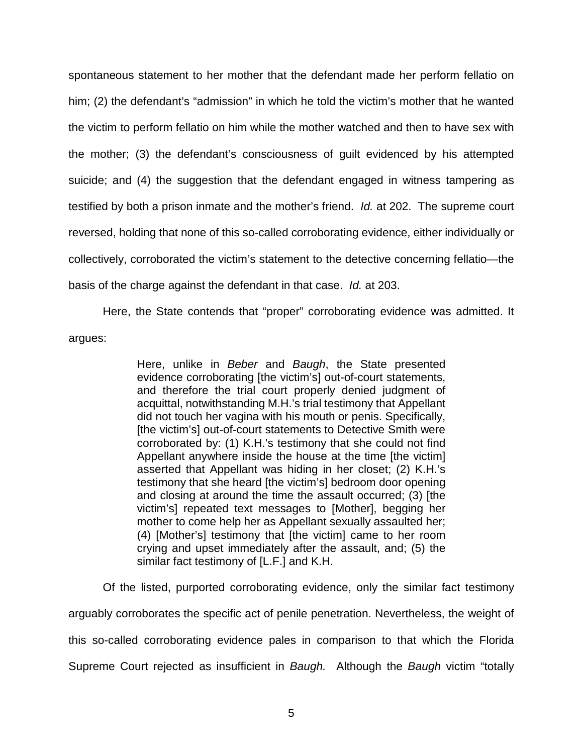spontaneous statement to her mother that the defendant made her perform fellatio on him; (2) the defendant's "admission" in which he told the victim's mother that he wanted the victim to perform fellatio on him while the mother watched and then to have sex with the mother; (3) the defendant's consciousness of guilt evidenced by his attempted suicide; and (4) the suggestion that the defendant engaged in witness tampering as testified by both a prison inmate and the mother's friend. *Id.* at 202. The supreme court reversed, holding that none of this so-called corroborating evidence, either individually or collectively, corroborated the victim's statement to the detective concerning fellatio—the basis of the charge against the defendant in that case. *Id.* at 203.

Here, the State contends that "proper" corroborating evidence was admitted. It argues:

> Here, unlike in *Beber* and *Baugh*, the State presented evidence corroborating [the victim's] out-of-court statements, and therefore the trial court properly denied judgment of acquittal, notwithstanding M.H.'s trial testimony that Appellant did not touch her vagina with his mouth or penis. Specifically, [the victim's] out-of-court statements to Detective Smith were corroborated by: (1) K.H.'s testimony that she could not find Appellant anywhere inside the house at the time [the victim] asserted that Appellant was hiding in her closet; (2) K.H.'s testimony that she heard [the victim's] bedroom door opening and closing at around the time the assault occurred; (3) [the victim's] repeated text messages to [Mother], begging her mother to come help her as Appellant sexually assaulted her; (4) [Mother's] testimony that [the victim] came to her room crying and upset immediately after the assault, and; (5) the similar fact testimony of [L.F.] and K.H.

Of the listed, purported corroborating evidence, only the similar fact testimony arguably corroborates the specific act of penile penetration. Nevertheless, the weight of this so-called corroborating evidence pales in comparison to that which the Florida Supreme Court rejected as insufficient in *Baugh.* Although the *Baugh* victim "totally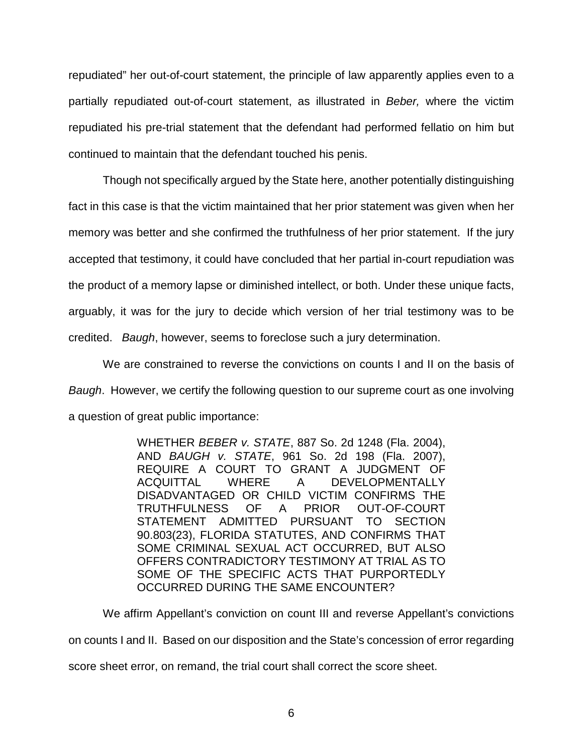repudiated" her out-of-court statement, the principle of law apparently applies even to a partially repudiated out-of-court statement, as illustrated in *Beber,* where the victim repudiated his pre-trial statement that the defendant had performed fellatio on him but continued to maintain that the defendant touched his penis.

Though not specifically argued by the State here, another potentially distinguishing fact in this case is that the victim maintained that her prior statement was given when her memory was better and she confirmed the truthfulness of her prior statement. If the jury accepted that testimony, it could have concluded that her partial in-court repudiation was the product of a memory lapse or diminished intellect, or both. Under these unique facts, arguably, it was for the jury to decide which version of her trial testimony was to be credited. *Baugh*, however, seems to foreclose such a jury determination.

We are constrained to reverse the convictions on counts I and II on the basis of *Baugh*. However, we certify the following question to our supreme court as one involving a question of great public importance:

> WHETHER *BEBER v. STATE*, 887 So. 2d 1248 (Fla. 2004), AND *BAUGH v. STATE*, 961 So. 2d 198 (Fla. 2007), REQUIRE A COURT TO GRANT A JUDGMENT OF ACQUITTAL WHERE A DEVELOPMENTALLY DISADVANTAGED OR CHILD VICTIM CONFIRMS THE TRUTHFULNESS OF A PRIOR OUT-OF-COURT STATEMENT ADMITTED PURSUANT TO SECTION 90.803(23), FLORIDA STATUTES, AND CONFIRMS THAT SOME CRIMINAL SEXUAL ACT OCCURRED, BUT ALSO OFFERS CONTRADICTORY TESTIMONY AT TRIAL AS TO SOME OF THE SPECIFIC ACTS THAT PURPORTEDLY OCCURRED DURING THE SAME ENCOUNTER?

We affirm Appellant's conviction on count III and reverse Appellant's convictions on counts I and II. Based on our disposition and the State's concession of error regarding score sheet error, on remand, the trial court shall correct the score sheet.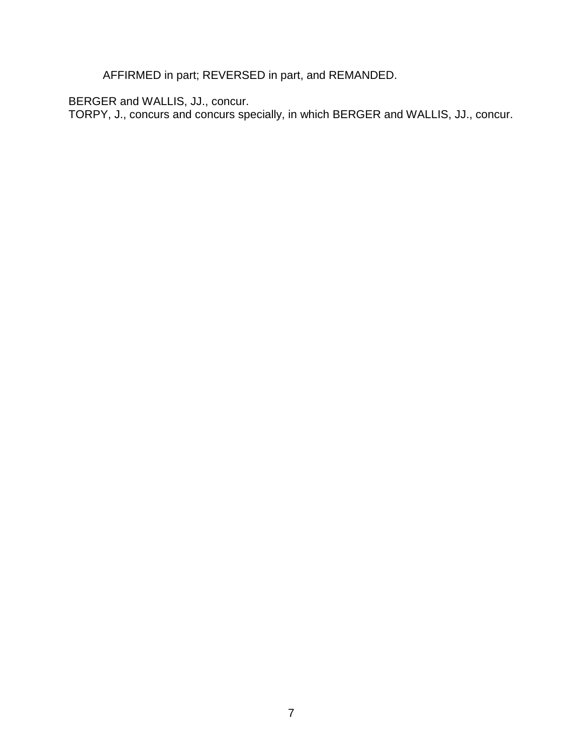AFFIRMED in part; REVERSED in part, and REMANDED.

BERGER and WALLIS, JJ., concur.

TORPY, J., concurs and concurs specially, in which BERGER and WALLIS, JJ., concur.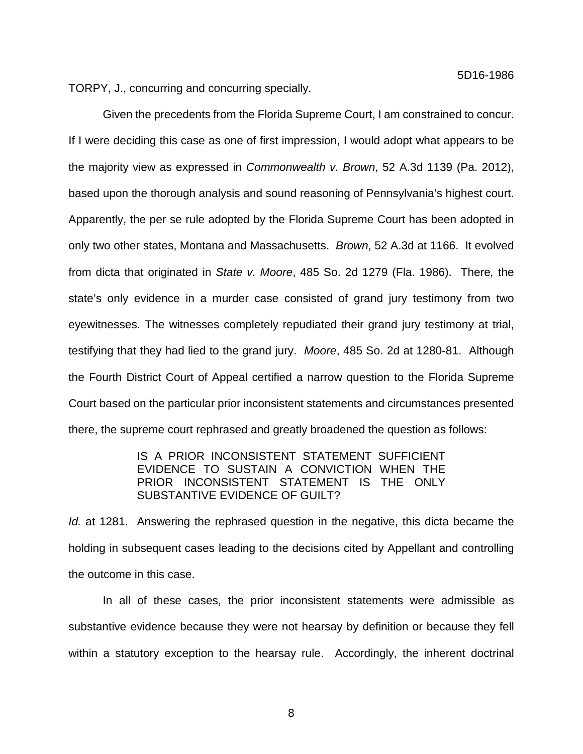TORPY, J., concurring and concurring specially.

Given the precedents from the Florida Supreme Court, I am constrained to concur. If I were deciding this case as one of first impression, I would adopt what appears to be the majority view as expressed in *Commonwealth v. Brown*, 52 A.3d 1139 (Pa. 2012), based upon the thorough analysis and sound reasoning of Pennsylvania's highest court. Apparently, the per se rule adopted by the Florida Supreme Court has been adopted in only two other states, Montana and Massachusetts. *Brown*, 52 A.3d at 1166. It evolved from dicta that originated in *State v. Moore*, 485 So. 2d 1279 (Fla. 1986). There*,* the state's only evidence in a murder case consisted of grand jury testimony from two eyewitnesses. The witnesses completely repudiated their grand jury testimony at trial, testifying that they had lied to the grand jury. *Moore*, 485 So. 2d at 1280-81. Although the Fourth District Court of Appeal certified a narrow question to the Florida Supreme Court based on the particular prior inconsistent statements and circumstances presented there, the supreme court rephrased and greatly broadened the question as follows:

## IS A PRIOR INCONSISTENT STATEMENT SUFFICIENT EVIDENCE TO SUSTAIN A CONVICTION WHEN THE PRIOR INCONSISTENT STATEMENT IS THE ONLY SUBSTANTIVE EVIDENCE OF GUILT?

*Id.* at 1281. Answering the rephrased question in the negative, this dicta became the holding in subsequent cases leading to the decisions cited by Appellant and controlling the outcome in this case.

In all of these cases, the prior inconsistent statements were admissible as substantive evidence because they were not hearsay by definition or because they fell within a statutory exception to the hearsay rule. Accordingly, the inherent doctrinal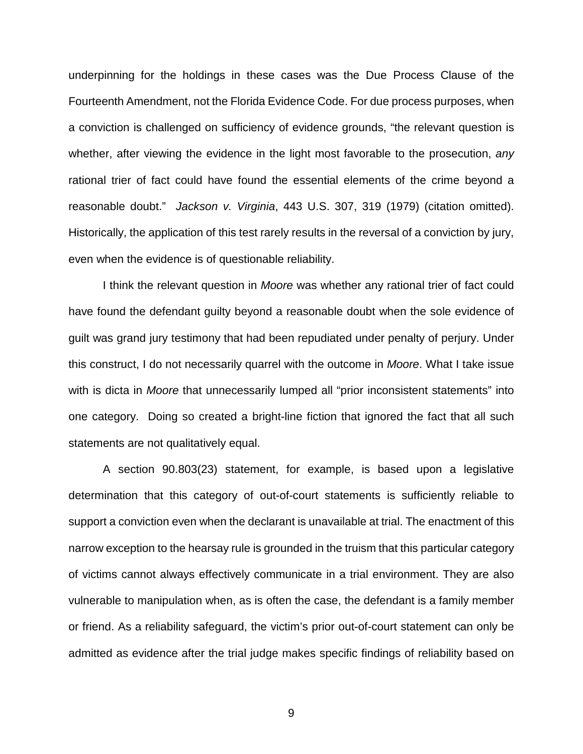underpinning for the holdings in these cases was the Due Process Clause of the Fourteenth Amendment, not the Florida Evidence Code. For due process purposes, when a conviction is challenged on sufficiency of evidence grounds, "the relevant question is whether, after viewing the evidence in the light most favorable to the prosecution, *any* rational trier of fact could have found the essential elements of the crime beyond a reasonable doubt." *Jackson v. Virginia*, 443 U.S. 307, 319 (1979) (citation omitted). Historically, the application of this test rarely results in the reversal of a conviction by jury, even when the evidence is of questionable reliability.

I think the relevant question in *Moore* was whether any rational trier of fact could have found the defendant guilty beyond a reasonable doubt when the sole evidence of guilt was grand jury testimony that had been repudiated under penalty of perjury. Under this construct, I do not necessarily quarrel with the outcome in *Moore*. What I take issue with is dicta in *Moore* that unnecessarily lumped all "prior inconsistent statements" into one category. Doing so created a bright-line fiction that ignored the fact that all such statements are not qualitatively equal.

A section 90.803(23) statement, for example, is based upon a legislative determination that this category of out-of-court statements is sufficiently reliable to support a conviction even when the declarant is unavailable at trial. The enactment of this narrow exception to the hearsay rule is grounded in the truism that this particular category of victims cannot always effectively communicate in a trial environment. They are also vulnerable to manipulation when, as is often the case, the defendant is a family member or friend. As a reliability safeguard, the victim's prior out-of-court statement can only be admitted as evidence after the trial judge makes specific findings of reliability based on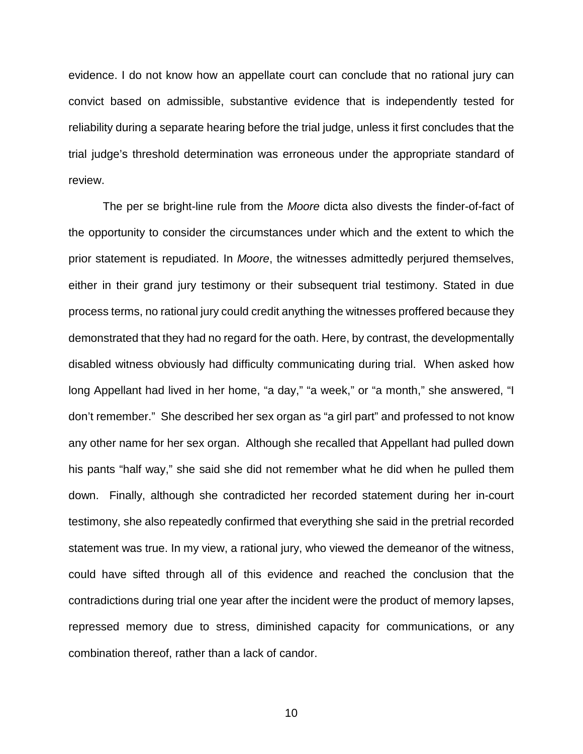evidence. I do not know how an appellate court can conclude that no rational jury can convict based on admissible, substantive evidence that is independently tested for reliability during a separate hearing before the trial judge, unless it first concludes that the trial judge's threshold determination was erroneous under the appropriate standard of review.

The per se bright-line rule from the *Moore* dicta also divests the finder-of-fact of the opportunity to consider the circumstances under which and the extent to which the prior statement is repudiated. In *Moore*, the witnesses admittedly perjured themselves, either in their grand jury testimony or their subsequent trial testimony. Stated in due process terms, no rational jury could credit anything the witnesses proffered because they demonstrated that they had no regard for the oath. Here, by contrast, the developmentally disabled witness obviously had difficulty communicating during trial. When asked how long Appellant had lived in her home, "a day," "a week," or "a month," she answered, "I don't remember." She described her sex organ as "a girl part" and professed to not know any other name for her sex organ. Although she recalled that Appellant had pulled down his pants "half way," she said she did not remember what he did when he pulled them down. Finally, although she contradicted her recorded statement during her in-court testimony, she also repeatedly confirmed that everything she said in the pretrial recorded statement was true. In my view, a rational jury, who viewed the demeanor of the witness, could have sifted through all of this evidence and reached the conclusion that the contradictions during trial one year after the incident were the product of memory lapses, repressed memory due to stress, diminished capacity for communications, or any combination thereof, rather than a lack of candor.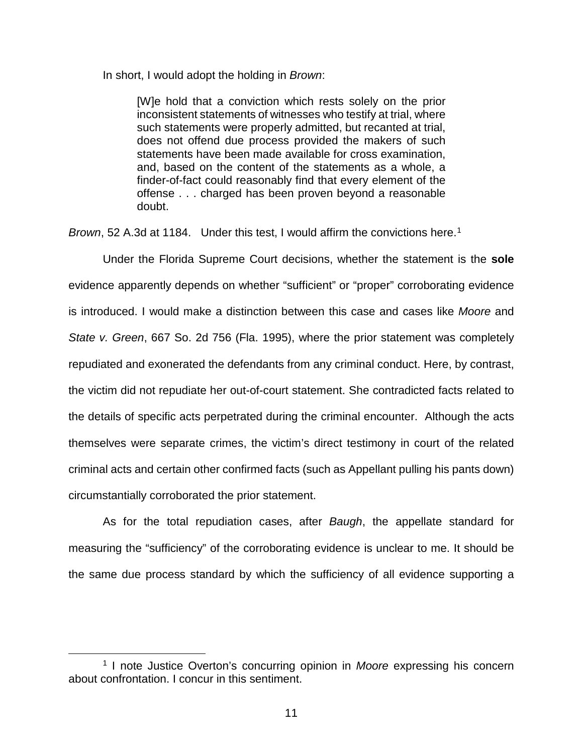In short, I would adopt the holding in *Brown*:

[W]e hold that a conviction which rests solely on the prior inconsistent statements of witnesses who testify at trial, where such statements were properly admitted, but recanted at trial, does not offend due process provided the makers of such statements have been made available for cross examination, and, based on the content of the statements as a whole, a finder-of-fact could reasonably find that every element of the offense . . . charged has been proven beyond a reasonable doubt.

*Brown*, 52 A.3d at [1](#page-10-0)184. Under this test, I would affirm the convictions here.<sup>1</sup>

Under the Florida Supreme Court decisions, whether the statement is the **sole** evidence apparently depends on whether "sufficient" or "proper" corroborating evidence is introduced. I would make a distinction between this case and cases like *Moore* and *State v. Green*, 667 So. 2d 756 (Fla. 1995), where the prior statement was completely repudiated and exonerated the defendants from any criminal conduct. Here, by contrast, the victim did not repudiate her out-of-court statement. She contradicted facts related to the details of specific acts perpetrated during the criminal encounter. Although the acts themselves were separate crimes, the victim's direct testimony in court of the related criminal acts and certain other confirmed facts (such as Appellant pulling his pants down) circumstantially corroborated the prior statement.

As for the total repudiation cases, after *Baugh*, the appellate standard for measuring the "sufficiency" of the corroborating evidence is unclear to me. It should be the same due process standard by which the sufficiency of all evidence supporting a

<span id="page-10-0"></span> <sup>1</sup> I note Justice Overton's concurring opinion in *Moore* expressing his concern about confrontation. I concur in this sentiment.